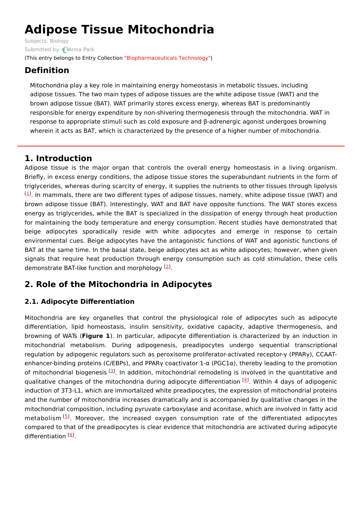# **Adipose Tissue Mitochondria**

Subjects: [Biology](https://encyclopedia.pub/item/subject/191) Submitted by: **[Anna](https://sciprofiles.com/profile/1586448) Park** (This entry belongs to Entry Collection ["Biopharmaceuticals](https://encyclopedia.pub/entry_collection?id=33) Technology")

# **Definition**

Mitochondria play a key role in maintaining energy homeostasis in metabolic tissues, including adipose tissues. The two main types of adipose tissues are the white adipose tissue (WAT) and the brown adipose tissue (BAT). WAT primarily stores excess energy, whereas BAT is predominantly responsible for energy expenditure by non-shivering thermogenesis through the mitochondria. WAT in response to appropriate stimuli such as cold exposure and β-adrenergic agonist undergoes browning wherein it acts as BAT, which is characterized by the presence of a higher number of mitochondria.

### **1. Introduction**

Adipose tissue is the major organ that controls the overall energy homeostasis in a living organism. Briefly, in excess energy conditions, the adipose tissue stores the superabundant nutrients in the form of triglycerides, whereas during scarcity of energy, it supplies the nutrients to other tissues through lipolysis  $[1]$  $[1]$  $[1]$ . In mammals, there are two different types of adipose tissues, namely, white adipose tissue (WAT) and brown adipose tissue (BAT). Interestingly, WAT and BAT have opposite functions. The WAT stores excess energy as triglycerides, while the BAT is specialized in the dissipation of energy through heat production for maintaining the body temperature and energy consumption. Recent studies have demonstrated that beige adipocytes sporadically reside with white adipocytes and emerge in response to certain environmental cues. Beige adipocytes have the antagonistic functions of WAT and agonistic functions of BAT at the same time. In the basal state, beige adipocytes act as white adipocytes; however, when given signals that require heat production through energy consumption such as cold stimulation, these cells demonstrate BAT-like function and morphology <sup>[\[2](#page-4-1)]</sup>.

## **2. Role of the Mitochondria in Adipocytes**

### **2.1. Adipocyte Differentiation**

Mitochondria are key organelles that control the physiological role of adipocytes such as adipocyte differentiation, lipid homeostasis, insulin sensitivity, oxidative capacity, adaptive thermogenesis, and browning of WATs (**Figure 1**). In particular, adipocyte differentiation is characterized by an induction in mitochondrial metabolism. During adipogenesis, preadipocytes undergo sequential transcriptional regulation by adipogenic regulators such as peroxisome proliferator-activated receptor-γ (PPARγ), CCAATenhancer-binding proteins (C/EBPs), and PPARγ coactivator 1-α (PGC1α), thereby leading to the promotion of mitochondrial biogenesis [[3](#page-4-2)]. In addition, mitochondrial remodeling is involved in the quantitative and qualitative changes of the mitochondria during adipocyte differentiation [\[4](#page-4-3)]. Within 4 days of adipogenic induction of 3T3-L1, which are immortalized white preadipocytes, the expression of mitochondrial proteins and the number of mitochondria increases dramatically and is accompanied by qualitative changes in the mitochondrial composition, including pyruvate carboxylase and aconitase, which are involved in fatty acid metabolism<sup>[\[5](#page-4-4)]</sup>. Moreover, the increased oxygen consumption rate of the differentiated adipocytes compared to that of the preadipocytes is clear evidence that mitochondria are activated during adipocyte differentiation [\[6](#page-4-5)].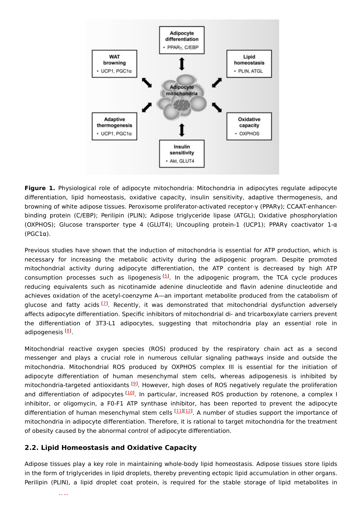

**Figure 1.** Physiological role of adipocyte mitochondria: Mitochondria in adipocytes regulate adipocyte differentiation, lipid homeostasis, oxidative capacity, insulin sensitivity, adaptive thermogenesis, and browning of white adipose tissues. Peroxisome proliferator-activated receptor-γ (PPARγ); CCAAT-enhancerbinding protein (C/EBP); Perilipin (PLIN); Adipose triglyceride lipase (ATGL); Oxidative phosphorylation (OXPHOS); Glucose transporter type 4 (GLUT4); Uncoupling protein-1 (UCP1); PPARγ coactivator 1-α (PGC1α).

Previous studies have shown that the induction of mitochondria is essential for ATP production, which is necessary for increasing the metabolic activity during the adipogenic program. Despite promoted mitochondrial activity during adipocyte differentiation, the ATP content is decreased by high ATP consumption processes such as lipogenesis<sup>[\[5](#page-4-4)]</sup>. In the adipogenic program, the TCA cycle produces reducing equivalents such as nicotinamide adenine dinucleotide and flavin adenine dinucleotide and achieves oxidation of the acetyl-coenzyme A—an important metabolite produced from the catabolism of glucose and fatty acids <sup>[<u>[7](#page-4-6)</u>]</sup>. Recently, it was demonstrated that mitochondrial dysfunction adversely affects adipocyte differentiation. Specific inhibitors of mitochondrial di- and tricarboxylate carriers prevent the differentiation of 3T3-L1 adipocytes, suggesting that mitochondria play an essential role in adipogenesis <sup>[<u>[8](#page-4-7)</u>]</sup>.

Mitochondrial reactive oxygen species (ROS) produced by the respiratory chain act as a second messenger and plays a crucial role in numerous cellular signaling pathways inside and outside the mitochondria. Mitochondrial ROS produced by OXPHOS complex III is essential for the initiation of adipocyte differentiation of human mesenchymal stem cells, whereas adipogenesis is inhibited by mitochondria-targeted antioxidants <sup>[\[9](#page-4-8)]</sup>. However, high doses of ROS negatively regulate the proliferation and differentiation of adipocytes [\[10](#page-4-9)]. In particular, increased ROS production by rotenone, a complex I inhibitor, or oligomycin, a F0-F1 ATP synthase inhibitor, has been reported to prevent the adipocyte differentiation of human mesenchymal stem cells <sup>[[11](#page-4-10)][\[12\]](#page-4-11)</sup>. A number of studies support the importance of mitochondria in adipocyte differentiation. Therefore, it is rational to target mitochondria for the treatment of obesity caused by the abnormal control of adipocyte differentiation.

#### **2.2. Lipid Homeostasis and Oxidative Capacity**

Adipose tissues play a key role in maintaining whole-body lipid homeostasis. Adipose tissues store lipids in the form of triglycerides in lipid droplets, thereby preventing ectopic lipid accumulation in other organs. Perilipin (PLIN), a lipid droplet coat protein, is required for the stable storage of lipid metabolites in

 $\frac{1}{2}$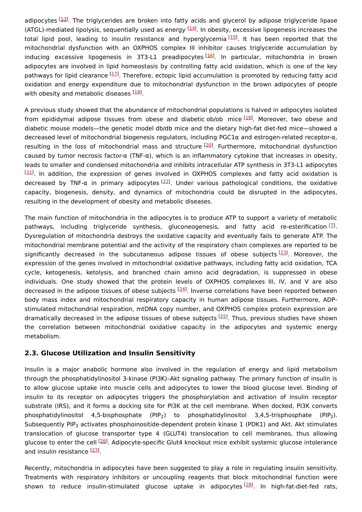adipocytes [[13\]](#page-4-12). The triglycerides are broken into fatty acids and glycerol by adipose triglyceride lipase (ATGL)-mediated lipolysis, sequentially used as energy <sup>[\[14](#page-5-0)]</sup>. In obesity, excessive lipogenesis increases the total lipid pool, leading to insulin resistance and hyperglycemia<sup>[\[15](#page-5-1)]</sup>. It has been reported that the mitochondrial dysfunction with an OXPHOS complex III inhibitor causes triglyceride accumulation by inducing excessive lipogenesis in 3T3-L1 preadipocytes<sup>[\[16\]](#page-5-2)</sup>. In particular, mitochondria in brown adipocytes are involved in lipid homeostasis by controlling fatty acid oxidation, which is one of the key pathways for lipid clearance [\[17](#page-5-3)]. Therefore, ectopic lipid accumulation is promoted by reducing fatty acid oxidation and energy expenditure due to mitochondrial dysfunction in the brown adipocytes of people with obesity and metabolic diseases [\[18](#page-5-4)].

A previous study showed that the abundance of mitochondrial populations is halved in adipocytes isolated from epididymal adipose tissues from obese and diabetic ob/ob mice [[19](#page-5-5)]. Moreover, two obese and diabetic mouse models—the genetic model db/db mice and the dietary high-fat diet-fed mice—showed a decreased level of mitochondrial biogenesis regulators, including PGC1α and estrogen-related receptor-α, resulting in the loss of mitochondrial mass and structure <sup>[[20](#page-5-6)]</sup>. Furthermore, mitochondrial dysfunction caused by tumor necrosis factor-α (TNF-α), which is an inflammatory cytokine that increases in obesity, leads to smaller and condensed mitochondria and inhibits intracellular ATP synthesis in 3T3-L1 adipocytes  $[21]$  $[21]$  $[21]$ . In addition, the expression of genes involved in OXPHOS complexes and fatty acid oxidation is decreased by TNF-α in primary adipocytes <sup>[[22\]](#page-5-8)</sup>. Under various pathological conditions, the oxidative capacity, biogenesis, density, and dynamics of mitochondria could be disrupted in the adipocytes, resulting in the development of obesity and metabolic diseases.

The main function of mitochondria in the adipocytes is to produce ATP to support a variety of metabolic pathways, including triglyceride synthesis, gluconeogenesis, and fatty acid re-esterification  $^{[2]}$ . Dysregulation of mitochondria destroys the oxidative capacity and eventually fails to generate ATP. The mitochondrial membrane potential and the activity of the respiratory chain complexes are reported to be significantly decreased in the subcutaneous adipose tissues of obese subjects<sup>[\[23](#page-5-9)]</sup>. Moreover, the expression of the genes involved in mitochondrial oxidative pathways, including fatty acid oxidation, TCA cycle, ketogenesis, ketolysis, and branched chain amino acid degradation, is suppressed in obese individuals. One study showed that the protein levels of OXPHOS complexes III, IV, and V are also decreased in the adipose tissues of obese subjects <sup>[[24\]](#page-5-10)</sup>. Inverse correlations have been reported between body mass index and mitochondrial respiratory capacity in human adipose tissues. Furthermore, ADPstimulated mitochondrial respiration, mtDNA copy number, and OXPHOS complex protein expression are dramatically decreased in the adipose tissues of obese subjects <sup>[[25](#page-5-11)]</sup>. Thus, previous studies have shown the correlation between mitochondrial oxidative capacity in the adipocytes and systemic energy metabolism.

#### **2.3. Glucose Utilization and Insulin Sensitivity**

Insulin is a major anabolic hormone also involved in the regulation of energy and lipid metabolism through the phosphatidylinositol 3-kinase (PI3K)–Akt signaling pathway. The primary function of insulin is to allow glucose uptake into muscle cells and adipocytes to lower the blood glucose level. Binding of insulin to its receptor on adipocytes triggers the phosphorylation and activation of insulin receptor substrate (IRS), and it forms a docking site for PI3K at the cell membrane. When docked, PI3K converts phosphatidylinositol 4,5-bisphosphate (PIP<sub>2</sub>) to phosphatidylinositol 3,4,5-trisphosphate (PIP<sub>3</sub>). Subsequently PIP<sub>3</sub> activates phosphoinositide-dependent protein kinase 1 (PDK1) and Akt. Akt stimulates translocation of glucose transporter type 4 (GLUT4) translocation to cell membranes, thus allowing glucose to enter the cell <sup>[\[26](#page-5-12)]</sup>. Adipocyte-specific Glut4 knockout mice exhibit systemic glucose intolerance and insulin resistance [[27](#page-5-13)].

Recently, mitochondria in adipocytes have been suggested to play a role in regulating insulin sensitivity. Treatments with respiratory inhibitors or uncoupling reagents that block mitochondrial function were shown to reduce insulin-stimulated glucose uptake in adipocytes<sup>[[28](#page-5-14)]</sup>. In high-fat-diet-fed rats,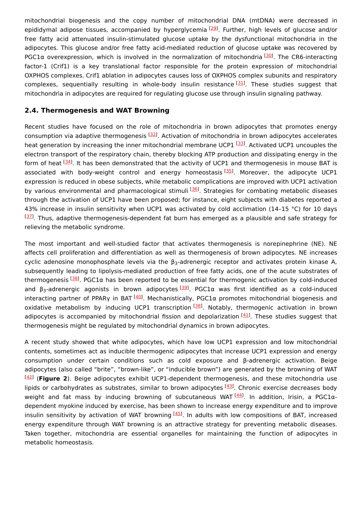mitochondrial biogenesis and the copy number of mitochondrial DNA (mtDNA) were decreased in epididymal adipose tissues, accompanied by hyperglycemia 229. Further, high levels of glucose and/or free fatty acid attenuated insulin-stimulated glucose uptake by the dysfunctional mitochondria in the adipocytes. This glucose and/or free fatty acid-mediated reduction of glucose uptake was recovered by PGC1 $\alpha$  overexpression, which is involved in the normalization of mitochondria  $[30]$  $[30]$ . The CR6-interacting factor-1 (Crif1) is a key translational factor responsible for the protein expression of mitochondrial OXPHOS complexes. Crif1 ablation in adipocytes causes loss of OXPHOS complex subunits and respiratory complexes, sequentially resulting in whole-body insulin resistance <sup>[[31](#page-5-17)]</sup>. These studies suggest that mitochondria in adipocytes are required for regulating glucose use through insulin signaling pathway.

#### **2.4. Thermogenesis and WAT Browning**

Recent studies have focused on the role of mitochondria in brown adipocytes that promotes energy consumption via adaptive thermogenesis <sup>[[32\]](#page-5-18)</sup>. Activation of mitochondria in brown adipocytes accelerates heat generation by increasing the inner mitochondrial membrane UCP1 <sup>[[33](#page-5-19)]</sup>. Activated UCP1 uncouples the electron transport of the respiratory chain, thereby blocking ATP production and dissipating energy in the form of heat [\[34](#page-5-20)]. It has been demonstrated that the activity of UCP1 and thermogenesis in mouse BAT is associated with body-weight control and energy homeostasis<sup>[\[35](#page-5-21)]</sup>. Moreover, the adipocyte UCP1 expression is reduced in obese subjects, while metabolic complications are improved with UCP1 activation by various environmental and pharmacological stimuli <sup>[\[36](#page-5-22)]</sup>. Strategies for combating metabolic diseases through the activation of UCP1 have been proposed; for instance, eight subjects with diabetes reported a 43% increase in insulin sensitivity when UCP1 was activated by cold acclimation (14-15 °C) for 10 days  $[37]$  $[37]$  $[37]$ . Thus, adaptive thermogenesis-dependent fat burn has emerged as a plausible and safe strategy for relieving the metabolic syndrome.

The most important and well-studied factor that activates thermogenesis is norepinephrine (NE). NE affects cell proliferation and differentiation as well as thermogenesis of brown adipocytes. NE increases cyclic adenosine monophosphate levels via the  $\beta_3$ -adrenergic receptor and activates protein kinase A, subsequently leading to lipolysis-mediated production of free fatty acids, one of the acute substrates of thermogenesis [\[38\]](#page-5-24). PGC1α has been reported to be essential for thermogenic activation by cold-induced and β<sub>3</sub>-adrenergic agonists in brown adipocytes<sup>[\[39\]](#page-6-0)</sup>. PGC1α was first identified as a cold-induced interacting partner of PPARγ in BAT  $^{[40]}$  $^{[40]}$  $^{[40]}$ . Mechanistically, PGC1 $\alpha$  promotes mitochondrial biogenesis and oxidative metabolism by inducing UCP1 transcription<sup>[\[38](#page-5-24)]</sup>. Notably, thermogenic activation in brown adipocytes is accompanied by mitochondrial fission and depolarization [\[41](#page-6-2)]. These studies suggest that thermogenesis might be regulated by mitochondrial dynamics in brown adipocytes.

A recent study showed that white adipocytes, which have low UCP1 expression and low mitochondrial contents, sometimes act as inducible thermogenic adipocytes that increase UCP1 expression and energy consumption under certain conditions such as cold exposure and β-adrenergic activation. Beige adipocytes (also called "brite", "brown-like", or "inducible brown") are generated by the browning of WAT (**Figure 2**). Beige adipocytes exhibit UCP1-dependent thermogenesis, and these mitochondria use [[42](#page-6-3)] lipids or carbohydrates as substrates, similar to brown adipocytes <sup>[\[43](#page-6-4)]</sup>. Chronic exercise decreases body weight and fat mass by inducing browning of subcutaneous WAT <sup>[\[44\]](#page-6-5)</sup>. In addition, Irisin, a PGC1αdependent myokine induced by exercise, has been shown to increase energy expenditure and to improve insulin sensitivity by activation of WAT browning  $^{[45]}$  $^{[45]}$  $^{[45]}$ . In adults with low compositions of BAT, increased energy expenditure through WAT browning is an attractive strategy for preventing metabolic diseases. Taken together, mitochondria are essential organelles for maintaining the function of adipocytes in metabolic homeostasis.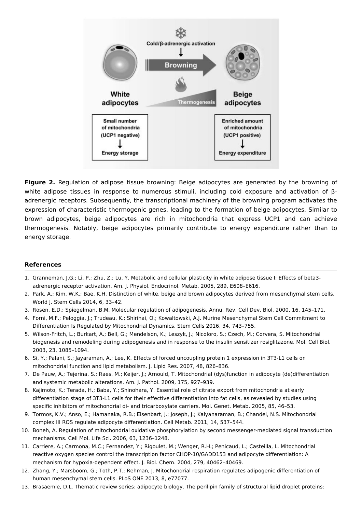

**Figure 2.** Regulation of adipose tissue browning: Beige adipocytes are generated by the browning of white adipose tissues in response to numerous stimuli, including cold exposure and activation of βadrenergic receptors. Subsequently, the transcriptional machinery of the browning program activates the expression of characteristic thermogenic genes, leading to the formation of beige adipocytes. Similar to brown adipocytes, beige adipocytes are rich in mitochondria that express UCP1 and can achieve thermogenesis. Notably, beige adipocytes primarily contribute to energy expenditure rather than to energy storage.

#### **References**

- <span id="page-4-0"></span>1. Granneman, J.G.; Li, P.; Zhu, Z.; Lu, Y. Metabolic and cellular plasticity in white adipose tissue I: Effects of beta3 adrenergic receptor activation. Am. J. Physiol. Endocrinol. Metab. 2005, 289, E608–E616.
- <span id="page-4-1"></span>2. Park, A.; Kim, W.K.; Bae, K.H. Distinction of white, beige and brown adipocytes derived from mesenchymal stem cells. World J. Stem Cells 2014, 6, 33–42.
- <span id="page-4-2"></span>3. Rosen, E.D.; Spiegelman, B.M. Molecular regulation of adipogenesis. Annu. Rev. Cell Dev. Biol. 2000, 16, 145–171.
- <span id="page-4-3"></span>4. Forni, M.F.; Peloggia, J.; Trudeau, K.; Shirihai, O.; Kowaltowski, A.J. Murine Mesenchymal Stem Cell Commitment to Differentiation Is Regulated by Mitochondrial Dynamics. Stem Cells 2016, 34, 743–755.
- <span id="page-4-4"></span>5. Wilson-Fritch, L.; Burkart, A.; Bell, G.; Mendelson, K.; Leszyk, J.; Nicoloro, S.; Czech, M.; Corvera, S. Mitochondrial biogenesis and remodeling during adipogenesis and in response to the insulin sensitizer rosiglitazone. Mol. Cell Biol. 2003, 23, 1085–1094.
- <span id="page-4-5"></span>6. Si, Y.; Palani, S.; Jayaraman, A.; Lee, K. Effects of forced uncoupling protein 1 expression in 3T3-L1 cells on mitochondrial function and lipid metabolism. J. Lipid Res. 2007, 48, 826–836.
- <span id="page-4-6"></span>7. De Pauw, A.; Tejerina, S.; Raes, M.; Keijer, J.; Arnould, T. Mitochondrial (dys)function in adipocyte (de)differentiation and systemic metabolic alterations. Am. J. Pathol. 2009, 175, 927–939.
- <span id="page-4-7"></span>8. Kajimoto, K.; Terada, H.; Baba, Y.; Shinohara, Y. Essential role of citrate export from mitochondria at early differentiation stage of 3T3-L1 cells for their effective differentiation into fat cells, as revealed by studies using specific inhibitors of mitochondrial di- and tricarboxylate carriers. Mol. Genet. Metab. 2005, 85, 46–53.
- <span id="page-4-8"></span>9. Tormos, K.V.; Anso, E.; Hamanaka, R.B.; Eisenbart, J.; Joseph, J.; Kalyanaraman, B.; Chandel, N.S. Mitochondrial complex III ROS regulate adipocyte differentiation. Cell Metab. 2011, 14, 537–544.
- <span id="page-4-9"></span>10. Boneh, A. Regulation of mitochondrial oxidative phosphorylation by second messenger-mediated signal transduction mechanisms. Cell Mol. Life Sci. 2006, 63, 1236–1248.
- <span id="page-4-10"></span>11. Carriere, A.; Carmona, M.C.; Fernandez, Y.; Rigoulet, M.; Wenger, R.H.; Penicaud, L.; Casteilla, L. Mitochondrial reactive oxygen species control the transcription factor CHOP-10/GADD153 and adipocyte differentiation: A mechanism for hypoxia-dependent effect. J. Biol. Chem. 2004, 279, 40462–40469.
- <span id="page-4-11"></span>12. Zhang, Y.; Marsboom, G.; Toth, P.T.; Rehman, J. Mitochondrial respiration regulates adipogenic differentiation of human mesenchymal stem cells. PLoS ONE 2013, 8, e77077.
- <span id="page-4-12"></span>13. Brasaemle, D.L. Thematic review series: adipocyte biology. The perilipin family of structural lipid droplet proteins: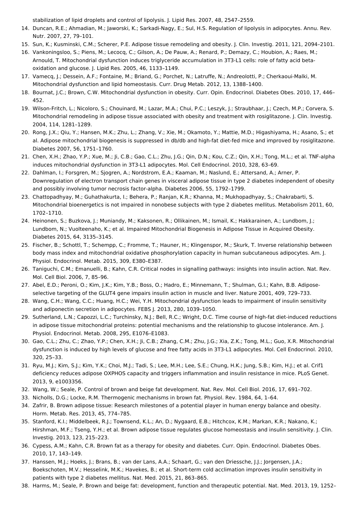<span id="page-5-0"></span>stabilization of lipid droplets and control of lipolysis. J. Lipid Res. 2007, 48, 2547–2559.

- 14. Duncan, R.E.; Ahmadian, M.; Jaworski, K.; Sarkadi-Nagy, E.; Sul, H.S. Regulation of lipolysis in adipocytes. Annu. Rev. Nutr. 2007, 27, 79–101.
- <span id="page-5-1"></span>15. Sun, K.; Kusminski, C.M.; Scherer, P.E. Adipose tissue remodeling and obesity. J. Clin. Investig. 2011, 121, 2094–2101.
- <span id="page-5-2"></span>16. Vankoningsloo, S.; Piens, M.; Lecocq, C.; Gilson, A.; De Pauw, A.; Renard, P.; Demazy, C.; Houbion, A.; Raes, M.; Arnould, T. Mitochondrial dysfunction induces triglyceride accumulation in 3T3-L1 cells: role of fatty acid betaoxidation and glucose. J. Lipid Res. 2005, 46, 1133–1149.
- <span id="page-5-3"></span>17. Vamecq, J.; Dessein, A.F.; Fontaine, M.; Briand, G.; Porchet, N.; Latruffe, N.; Andreolotti, P.; Cherkaoui-Malki, M. Mitochondrial dysfunction and lipid homeostasis. Curr. Drug Metab. 2012, 13, 1388–1400.
- <span id="page-5-4"></span>18. Bournat, J.C.; Brown, C.W. Mitochondrial dysfunction in obesity. Curr. Opin. Endocrinol. Diabetes Obes. 2010, 17, 446– 452.
- <span id="page-5-5"></span>19. Wilson-Fritch, L.; Nicoloro, S.; Chouinard, M.; Lazar, M.A.; Chui, P.C.; Leszyk, J.; Straubhaar, J.; Czech, M.P.; Corvera, S. Mitochondrial remodeling in adipose tissue associated with obesity and treatment with rosiglitazone. J. Clin. Investig. 2004, 114, 1281–1289.
- <span id="page-5-6"></span>20. Rong, J.X.; Qiu, Y.; Hansen, M.K.; Zhu, L.; Zhang, V.; Xie, M.; Okamoto, Y.; Mattie, M.D.; Higashiyama, H.; Asano, S.; et al. Adipose mitochondrial biogenesis is suppressed in db/db and high-fat diet-fed mice and improved by rosiglitazone. Diabetes 2007, 56, 1751–1760.
- <span id="page-5-7"></span>21. Chen, X.H.; Zhao, Y.P.; Xue, M.; Ji, C.B.; Gao, C.L.; Zhu, J.G.; Qin, D.N.; Kou, C.Z.; Qin, X.H.; Tong, M.L.; et al. TNF-alpha induces mitochondrial dysfunction in 3T3-L1 adipocytes. Mol. Cell Endocrinol. 2010, 328, 63–69.
- <span id="page-5-8"></span>22. Dahlman, I.; Forsgren, M.; Sjogren, A.; Nordstrom, E.A.; Kaaman, M.; Naslund, E.; Attersand, A.; Arner, P. Downregulation of electron transport chain genes in visceral adipose tissue in type 2 diabetes independent of obesity and possibly involving tumor necrosis factor-alpha. Diabetes 2006, 55, 1792–1799.
- <span id="page-5-9"></span>23. Chattopadhyay, M.; Guhathakurta, I.; Behera, P.; Ranjan, K.R.; Khanna, M.; Mukhopadhyay, S.; Chakrabarti, S. Mitochondrial bioenergetics is not impaired in nonobese subjects with type 2 diabetes mellitus. Metabolism 2011, 60, 1702–1710.
- <span id="page-5-10"></span>24. Heinonen, S.; Buzkova, J.; Muniandy, M.; Kaksonen, R.; Ollikainen, M.; Ismail, K.; Hakkarainen, A.; Lundbom, J.; Lundbom, N.; Vuolteenaho, K.; et al. Impaired Mitochondrial Biogenesis in Adipose Tissue in Acquired Obesity. Diabetes 2015, 64, 3135–3145.
- <span id="page-5-11"></span>25. Fischer, B.; Schottl, T.; Schempp, C.; Fromme, T.; Hauner, H.; Klingenspor, M.; Skurk, T. Inverse relationship between body mass index and mitochondrial oxidative phosphorylation capacity in human subcutaneous adipocytes. Am. J. Physiol. Endocrinol. Metab. 2015, 309, E380–E387.
- <span id="page-5-12"></span>26. Taniguchi, C.M.; Emanuelli, B.; Kahn, C.R. Critical nodes in signalling pathways: insights into insulin action. Nat. Rev. Mol. Cell Biol. 2006, 7, 85–96.
- <span id="page-5-13"></span>27. Abel, E.D.; Peroni, O.; Kim, J.K.; Kim, Y.B.; Boss, O.; Hadro, E.; Minnemann, T.; Shulman, G.I.; Kahn, B.B. Adiposeselective targeting of the GLUT4 gene impairs insulin action in muscle and liver. Nature 2001, 409, 729–733.
- <span id="page-5-14"></span>28. Wang, C.H.; Wang, C.C.; Huang, H.C.; Wei, Y.H. Mitochondrial dysfunction leads to impairment of insulin sensitivity and adiponectin secretion in adipocytes. FEBS J. 2013, 280, 1039–1050.
- <span id="page-5-15"></span>29. Sutherland, L.N.; Capozzi, L.C.; Turchinsky, N.J.; Bell, R.C.; Wright, D.C. Time course of high-fat diet-induced reductions in adipose tissue mitochondrial proteins: potential mechanisms and the relationship to glucose intolerance. Am. J. Physiol. Endocrinol. Metab. 2008, 295, E1076–E1083.
- <span id="page-5-16"></span>30. Gao, C.L.; Zhu, C.; Zhao, Y.P.; Chen, X.H.; Ji, C.B.; Zhang, C.M.; Zhu, J.G.; Xia, Z.K.; Tong, M.L.; Guo, X.R. Mitochondrial dysfunction is induced by high levels of glucose and free fatty acids in 3T3-L1 adipocytes. Mol. Cell Endocrinol. 2010, 320, 25–33.
- <span id="page-5-17"></span>31. Ryu, M.J.; Kim, S.J.; Kim, Y.K.; Choi, M.J.; Tadi, S.; Lee, M.H.; Lee, S.E.; Chung, H.K.; Jung, S.B.; Kim, H.J.; et al. Crif1 deficiency reduces adipose OXPHOS capacity and triggers inflammation and insulin resistance in mice. PLoS Genet. 2013, 9, e1003356.
- <span id="page-5-18"></span>32. Wang, W.; Seale, P. Control of brown and beige fat development. Nat. Rev. Mol. Cell Biol. 2016, 17, 691–702.
- <span id="page-5-19"></span>33. Nicholls, D.G.; Locke, R.M. Thermogenic mechanisms in brown fat. Physiol. Rev. 1984, 64, 1–64.
- <span id="page-5-20"></span>34. Zafrir, B. Brown adipose tissue: Research milestones of a potential player in human energy balance and obesity. Horm. Metab. Res. 2013, 45, 774–785.
- <span id="page-5-21"></span>35. Stanford, K.I.; Middelbeek, R.J.; Townsend, K.L.; An, D.; Nygaard, E.B.; Hitchcox, K.M.; Markan, K.R.; Nakano, K.; Hirshman, M.F.; Tseng, Y.H.; et al. Brown adipose tissue regulates glucose homeostasis and insulin sensitivity. J. Clin. Investig. 2013, 123, 215–223.
- <span id="page-5-22"></span>36. Cypess, A.M.; Kahn, C.R. Brown fat as a therapy for obesity and diabetes. Curr. Opin. Endocrinol. Diabetes Obes. 2010, 17, 143–149.
- <span id="page-5-23"></span>37. Hanssen, M.J.; Hoeks, J.; Brans, B.; van der Lans, A.A.; Schaart, G.; van den Driessche, J.J.; Jorgensen, J.A.; Boekschoten, M.V.; Hesselink, M.K.; Havekes, B.; et al. Short-term cold acclimation improves insulin sensitivity in patients with type 2 diabetes mellitus. Nat. Med. 2015, 21, 863–865.
- <span id="page-5-24"></span>38. Harms, M.; Seale, P. Brown and beige fat: development, function and therapeutic potential. Nat. Med. 2013, 19, 1252–